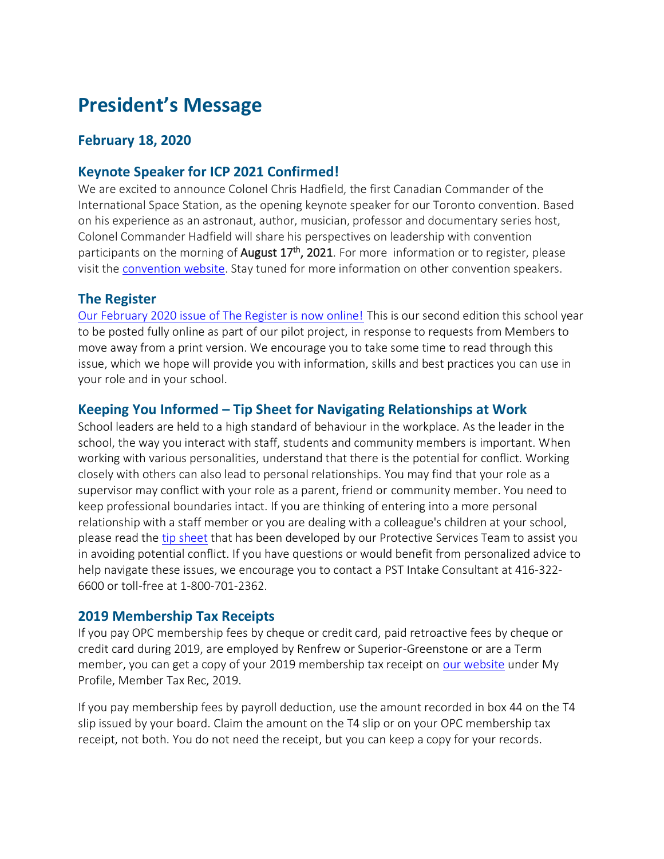# **President's Message**

## **February 18, 2020**

# **Keynote Speaker for ICP 2021 Confirmed!**

We are excited to announce Colonel Chris Hadfield, the first Canadian Commander of the International Space Station, as the opening keynote speaker for our Toronto convention. Based on his experience as an astronaut, author, musician, professor and documentary series host, Colonel Commander Hadfield will share his perspectives on leadership with convention participants on the morning of **August 17<sup>th</sup>, 2021**. For more information or to register, please visit th[e convention website.](https://www.principals.ca/en/professional-learning/2021-icp-convention.aspx) Stay tuned for more information on other convention speakers.

### **The Register**

[Our February 2020 issue of The Register is now online!](https://issuu.com/ontarioprincipalscouncil/docs/opc_winter-february2020?fr=sMTIzZjIyMDQxMg) This is our second edition this school year to be posted fully online as part of our pilot project, in response to requests from Members to move away from a print version. We encourage you to take some time to read through this issue, which we hope will provide you with information, skills and best practices you can use in your role and in your school.

## **Keeping You Informed – Tip Sheet for Navigating Relationships at Work**

School leaders are held to a high standard of behaviour in the workplace. As the leader in the school, the way you interact with staff, students and community members is important. When working with various personalities, understand that there is the potential for conflict. Working closely with others can also lead to personal relationships. You may find that your role as a supervisor may conflict with your role as a parent, friend or community member. You need to keep professional boundaries intact. If you are thinking of entering into a more personal relationship with a staff member or you are dealing with a colleague's children at your school, please read the [tip sheet](https://www.principals.ca/en/protective-services/resources/protected/PST_Tips_2018_Relationships.pdf) that has been developed by our Protective Services Team to assist you in avoiding potential conflict. If you have questions or would benefit from personalized advice to help navigate these issues, we encourage you to contact a PST Intake Consultant at 416-322- 6600 or toll-free at 1-800-701-2362.

### **2019 Membership Tax Receipts**

If you pay OPC membership fees by cheque or credit card, paid retroactive fees by cheque or credit card during 2019, are employed by Renfrew or Superior-Greenstone or are a Term member, you can get a copy of your 2019 membership tax receipt on [our website](https://www.principals.ca/en/index.aspx) under My Profile, Member Tax Rec, 2019.

If you pay membership fees by payroll deduction, use the amount recorded in box 44 on the T4 slip issued by your board. Claim the amount on the T4 slip or on your OPC membership tax receipt, not both. You do not need the receipt, but you can keep a copy for your records.